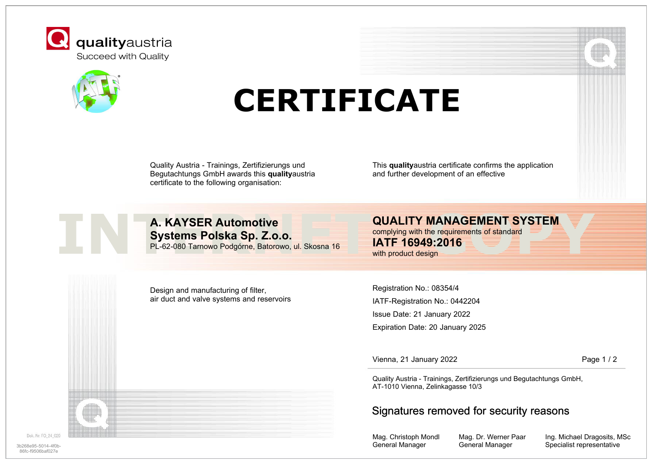



## **CERTIFICATE**

Quality Austria - Trainings, Zertifizierungs und Begutachtungs GmbH awards this **quality**austria certificate to the following organisation:

This **quality**austria certificate confirms the application and further development of an effective



**INTERNET AND ALTERNITY MANAGEMENT SYSTEM**<br>
INTERNET SYSTEM<br>
PL-62-080 Tarnowo Podgórne, Batorowo, ul. Skosna 16<br>
With product design<br>
With product design<br>
With product design **A. KAYSER Automotive Systems Polska Sp. Z.o.o.** PL-62-080 Tarnowo Podgórne, Batorowo, ul. Skosna 16

complying with the requirements of standard

**IATF 16949:2016** with product design

Design and manufacturing of filter, air duct and valve systems and reservoirs

Registration No.: 08354/4 IATF-Registration No.: 0442204 Issue Date: 21 January 2022 Expiration Date: 20 January 2025

Vienna, 21 January 2022 **Page 1 / 2** Page 1 / 2

Quality Austria - Trainings, Zertifizierungs und Begutachtungs GmbH, AT-1010 Vienna, Zelinkagasse 10/3

## Signatures removed for security reasons

Mag. Christoph Mondl General Manager

Mag. Dr. Werner Paar General Manager

Ing. Michael Dragosits, MSc 3b268e95-5014-4f0b-**Specialist representative** Specialist representative Specialist representative

Dok, Nr. FO 24 029

86fc-f9506baf027e